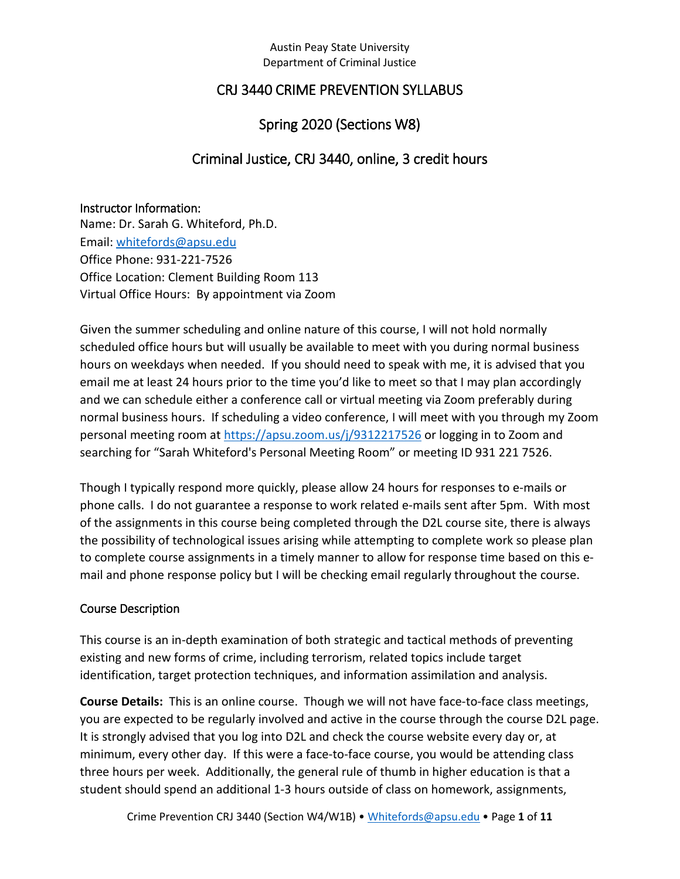## CRJ 3440 CRIME PREVENTION SYLLABUS

## Spring 2020 (Sections W8)

## Criminal Justice, CRJ 3440, online, 3 credit hours

#### Instructor Information:

Name: Dr. Sarah G. Whiteford, Ph.D. Email: [whitefords@apsu.edu](mailto:whitefords@apsu.edu) Office Phone: 931-221-7526 Office Location: Clement Building Room 113 Virtual Office Hours: By appointment via Zoom

Given the summer scheduling and online nature of this course, I will not hold normally scheduled office hours but will usually be available to meet with you during normal business hours on weekdays when needed. If you should need to speak with me, it is advised that you email me at least 24 hours prior to the time you'd like to meet so that I may plan accordingly and we can schedule either a conference call or virtual meeting via Zoom preferably during normal business hours. If scheduling a video conference, I will meet with you through my Zoom personal meeting room at<https://apsu.zoom.us/j/9312217526> or logging in to Zoom and searching for "Sarah Whiteford's Personal Meeting Room" or meeting ID 931 221 7526.

Though I typically respond more quickly, please allow 24 hours for responses to e-mails or phone calls. I do not guarantee a response to work related e-mails sent after 5pm. With most of the assignments in this course being completed through the D2L course site, there is always the possibility of technological issues arising while attempting to complete work so please plan to complete course assignments in a timely manner to allow for response time based on this email and phone response policy but I will be checking email regularly throughout the course.

### Course Description

This course is an in-depth examination of both strategic and tactical methods of preventing existing and new forms of crime, including terrorism, related topics include target identification, target protection techniques, and information assimilation and analysis.

**Course Details:** This is an online course. Though we will not have face-to-face class meetings, you are expected to be regularly involved and active in the course through the course D2L page. It is strongly advised that you log into D2L and check the course website every day or, at minimum, every other day. If this were a face-to-face course, you would be attending class three hours per week. Additionally, the general rule of thumb in higher education is that a student should spend an additional 1-3 hours outside of class on homework, assignments,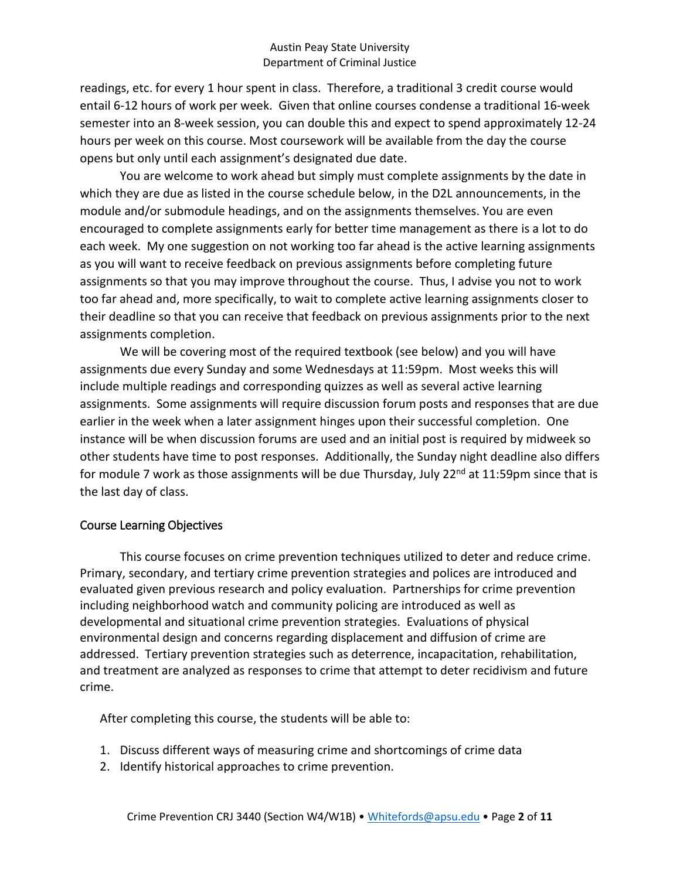readings, etc. for every 1 hour spent in class. Therefore, a traditional 3 credit course would entail 6-12 hours of work per week. Given that online courses condense a traditional 16-week semester into an 8-week session, you can double this and expect to spend approximately 12-24 hours per week on this course. Most coursework will be available from the day the course opens but only until each assignment's designated due date.

You are welcome to work ahead but simply must complete assignments by the date in which they are due as listed in the course schedule below, in the D2L announcements, in the module and/or submodule headings, and on the assignments themselves. You are even encouraged to complete assignments early for better time management as there is a lot to do each week. My one suggestion on not working too far ahead is the active learning assignments as you will want to receive feedback on previous assignments before completing future assignments so that you may improve throughout the course. Thus, I advise you not to work too far ahead and, more specifically, to wait to complete active learning assignments closer to their deadline so that you can receive that feedback on previous assignments prior to the next assignments completion.

We will be covering most of the required textbook (see below) and you will have assignments due every Sunday and some Wednesdays at 11:59pm. Most weeks this will include multiple readings and corresponding quizzes as well as several active learning assignments. Some assignments will require discussion forum posts and responses that are due earlier in the week when a later assignment hinges upon their successful completion. One instance will be when discussion forums are used and an initial post is required by midweek so other students have time to post responses. Additionally, the Sunday night deadline also differs for module 7 work as those assignments will be due Thursday, July  $22^{nd}$  at 11:59pm since that is the last day of class.

### Course Learning Objectives

This course focuses on crime prevention techniques utilized to deter and reduce crime. Primary, secondary, and tertiary crime prevention strategies and polices are introduced and evaluated given previous research and policy evaluation. Partnerships for crime prevention including neighborhood watch and community policing are introduced as well as developmental and situational crime prevention strategies. Evaluations of physical environmental design and concerns regarding displacement and diffusion of crime are addressed. Tertiary prevention strategies such as deterrence, incapacitation, rehabilitation, and treatment are analyzed as responses to crime that attempt to deter recidivism and future crime.

After completing this course, the students will be able to:

- 1. Discuss different ways of measuring crime and shortcomings of crime data
- 2. Identify historical approaches to crime prevention.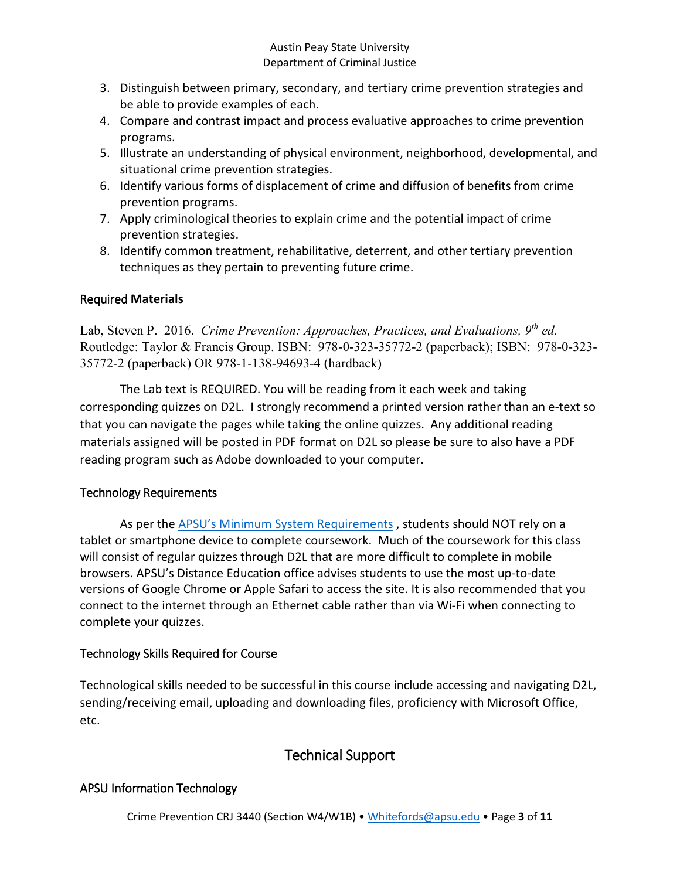- 3. Distinguish between primary, secondary, and tertiary crime prevention strategies and be able to provide examples of each.
- 4. Compare and contrast impact and process evaluative approaches to crime prevention programs.
- 5. Illustrate an understanding of physical environment, neighborhood, developmental, and situational crime prevention strategies.
- 6. Identify various forms of displacement of crime and diffusion of benefits from crime prevention programs.
- 7. Apply criminological theories to explain crime and the potential impact of crime prevention strategies.
- 8. Identify common treatment, rehabilitative, deterrent, and other tertiary prevention techniques as they pertain to preventing future crime.

## Required **Materials**

Lab, Steven P. 2016. *Crime Prevention: Approaches, Practices, and Evaluations, 9th ed.*  Routledge: Taylor & Francis Group. ISBN: 978-0-323-35772-2 (paperback); ISBN: 978-0-323- 35772-2 (paperback) OR 978-1-138-94693-4 (hardback)

The Lab text is REQUIRED. You will be reading from it each week and taking corresponding quizzes on D2L. I strongly recommend a printed version rather than an e-text so that you can navigate the pages while taking the online quizzes. Any additional reading materials assigned will be posted in PDF format on D2L so please be sure to also have a PDF reading program such as Adobe downloaded to your computer.

## Technology Requirements

As per the [APSU's Minimum System Requirements](https://www.apsu.edu/online/technical-support/requirements.php) , students should NOT rely on a tablet or smartphone device to complete coursework. Much of the coursework for this class will consist of regular quizzes through D2L that are more difficult to complete in mobile browsers. APSU's Distance Education office advises students to use the most up-to-date versions of Google Chrome or Apple Safari to access the site. It is also recommended that you connect to the internet through an Ethernet cable rather than via Wi-Fi when connecting to complete your quizzes.

## Technology Skills Required for Course

Technological skills needed to be successful in this course include accessing and navigating D2L, sending/receiving email, uploading and downloading files, proficiency with Microsoft Office, etc.

# Technical Support

## APSU Information Technology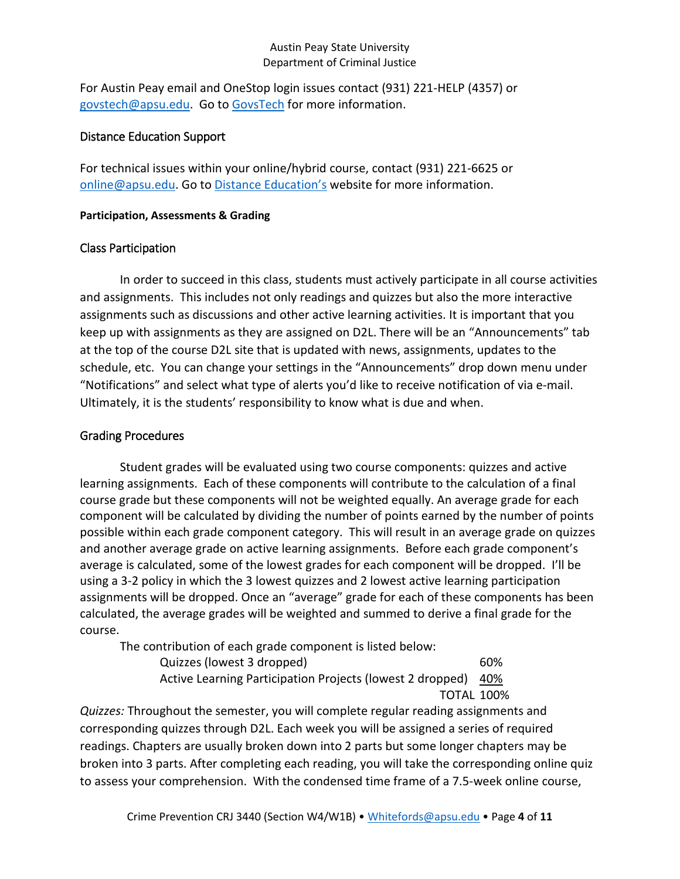For Austin Peay email and OneStop login issues contact (931) 221-HELP (4357) or [govstech@apsu.edu.](mailto:govstech@apsu.edu) Go to [GovsTech](https://www.apsu.edu/information-technology/helpdesk/) for more information.

#### Distance Education Support

For technical issues within your online/hybrid course, contact (931) 221-6625 or [online@apsu.edu.](mailto:online@apsu.edu) Go to [Distance Education's](http://apsu.edu/online) website for more information.

#### **Participation, Assessments & Grading**

### Class Participation

In order to succeed in this class, students must actively participate in all course activities and assignments. This includes not only readings and quizzes but also the more interactive assignments such as discussions and other active learning activities. It is important that you keep up with assignments as they are assigned on D2L. There will be an "Announcements" tab at the top of the course D2L site that is updated with news, assignments, updates to the schedule, etc. You can change your settings in the "Announcements" drop down menu under "Notifications" and select what type of alerts you'd like to receive notification of via e-mail. Ultimately, it is the students' responsibility to know what is due and when.

### Grading Procedures

Student grades will be evaluated using two course components: quizzes and active learning assignments. Each of these components will contribute to the calculation of a final course grade but these components will not be weighted equally. An average grade for each component will be calculated by dividing the number of points earned by the number of points possible within each grade component category. This will result in an average grade on quizzes and another average grade on active learning assignments. Before each grade component's average is calculated, some of the lowest grades for each component will be dropped. I'll be using a 3-2 policy in which the 3 lowest quizzes and 2 lowest active learning participation assignments will be dropped. Once an "average" grade for each of these components has been calculated, the average grades will be weighted and summed to derive a final grade for the course.

The contribution of each grade component is listed below:

Quizzes (lowest 3 dropped) 60% Active Learning Participation Projects (lowest 2 dropped) 40% TOTAL 100%

*Quizzes:* Throughout the semester, you will complete regular reading assignments and corresponding quizzes through D2L. Each week you will be assigned a series of required readings. Chapters are usually broken down into 2 parts but some longer chapters may be broken into 3 parts. After completing each reading, you will take the corresponding online quiz to assess your comprehension. With the condensed time frame of a 7.5-week online course,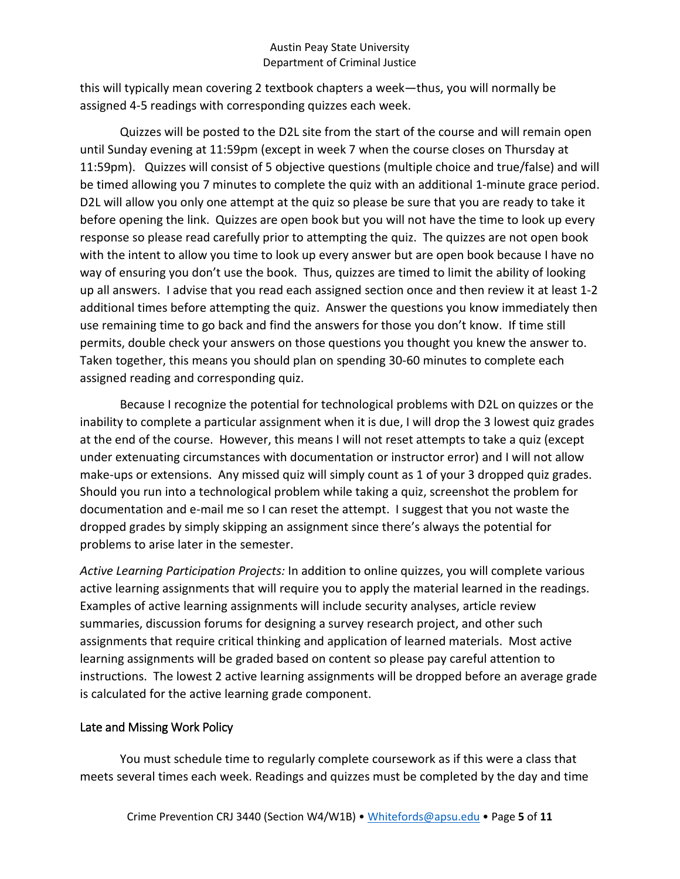this will typically mean covering 2 textbook chapters a week—thus, you will normally be assigned 4-5 readings with corresponding quizzes each week.

Quizzes will be posted to the D2L site from the start of the course and will remain open until Sunday evening at 11:59pm (except in week 7 when the course closes on Thursday at 11:59pm). Quizzes will consist of 5 objective questions (multiple choice and true/false) and will be timed allowing you 7 minutes to complete the quiz with an additional 1-minute grace period. D2L will allow you only one attempt at the quiz so please be sure that you are ready to take it before opening the link. Quizzes are open book but you will not have the time to look up every response so please read carefully prior to attempting the quiz. The quizzes are not open book with the intent to allow you time to look up every answer but are open book because I have no way of ensuring you don't use the book. Thus, quizzes are timed to limit the ability of looking up all answers. I advise that you read each assigned section once and then review it at least 1-2 additional times before attempting the quiz. Answer the questions you know immediately then use remaining time to go back and find the answers for those you don't know. If time still permits, double check your answers on those questions you thought you knew the answer to. Taken together, this means you should plan on spending 30-60 minutes to complete each assigned reading and corresponding quiz.

Because I recognize the potential for technological problems with D2L on quizzes or the inability to complete a particular assignment when it is due, I will drop the 3 lowest quiz grades at the end of the course. However, this means I will not reset attempts to take a quiz (except under extenuating circumstances with documentation or instructor error) and I will not allow make-ups or extensions. Any missed quiz will simply count as 1 of your 3 dropped quiz grades. Should you run into a technological problem while taking a quiz, screenshot the problem for documentation and e-mail me so I can reset the attempt. I suggest that you not waste the dropped grades by simply skipping an assignment since there's always the potential for problems to arise later in the semester.

*Active Learning Participation Projects:* In addition to online quizzes, you will complete various active learning assignments that will require you to apply the material learned in the readings. Examples of active learning assignments will include security analyses, article review summaries, discussion forums for designing a survey research project, and other such assignments that require critical thinking and application of learned materials. Most active learning assignments will be graded based on content so please pay careful attention to instructions. The lowest 2 active learning assignments will be dropped before an average grade is calculated for the active learning grade component.

### Late and Missing Work Policy

You must schedule time to regularly complete coursework as if this were a class that meets several times each week. Readings and quizzes must be completed by the day and time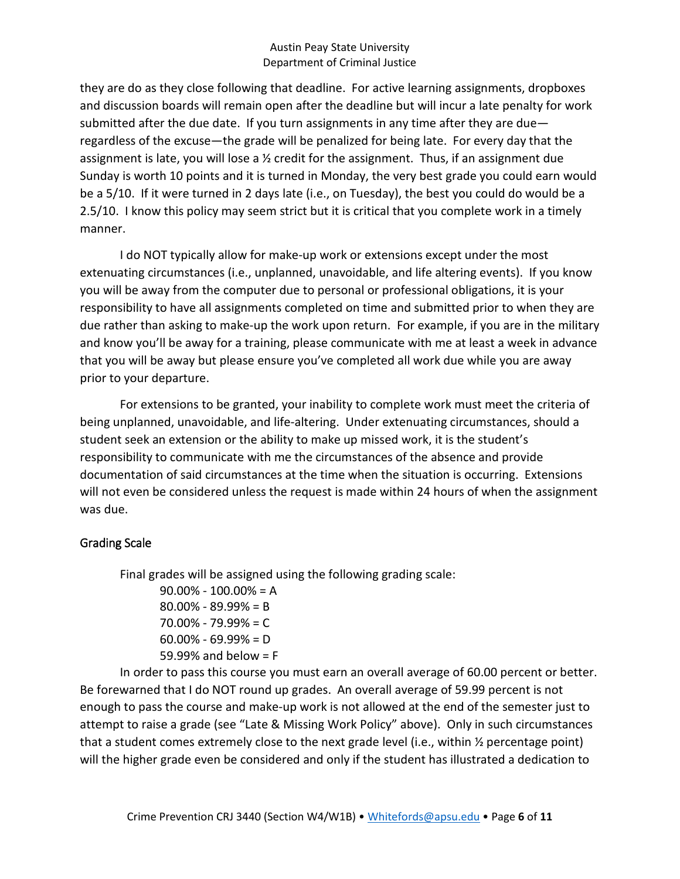they are do as they close following that deadline. For active learning assignments, dropboxes and discussion boards will remain open after the deadline but will incur a late penalty for work submitted after the due date. If you turn assignments in any time after they are due regardless of the excuse—the grade will be penalized for being late. For every day that the assignment is late, you will lose a ½ credit for the assignment. Thus, if an assignment due Sunday is worth 10 points and it is turned in Monday, the very best grade you could earn would be a 5/10. If it were turned in 2 days late (i.e., on Tuesday), the best you could do would be a 2.5/10. I know this policy may seem strict but it is critical that you complete work in a timely manner.

I do NOT typically allow for make-up work or extensions except under the most extenuating circumstances (i.e., unplanned, unavoidable, and life altering events). If you know you will be away from the computer due to personal or professional obligations, it is your responsibility to have all assignments completed on time and submitted prior to when they are due rather than asking to make-up the work upon return. For example, if you are in the military and know you'll be away for a training, please communicate with me at least a week in advance that you will be away but please ensure you've completed all work due while you are away prior to your departure.

For extensions to be granted, your inability to complete work must meet the criteria of being unplanned, unavoidable, and life-altering. Under extenuating circumstances, should a student seek an extension or the ability to make up missed work, it is the student's responsibility to communicate with me the circumstances of the absence and provide documentation of said circumstances at the time when the situation is occurring. Extensions will not even be considered unless the request is made within 24 hours of when the assignment was due.

### Grading Scale

Final grades will be assigned using the following grading scale:

90.00% - 100.00% = A 80.00% - 89.99% = B 70.00% - 79.99% = C  $60.00\% - 69.99\% = D$ 59.99% and below = F

In order to pass this course you must earn an overall average of 60.00 percent or better. Be forewarned that I do NOT round up grades. An overall average of 59.99 percent is not enough to pass the course and make-up work is not allowed at the end of the semester just to attempt to raise a grade (see "Late & Missing Work Policy" above). Only in such circumstances that a student comes extremely close to the next grade level (i.e., within ½ percentage point) will the higher grade even be considered and only if the student has illustrated a dedication to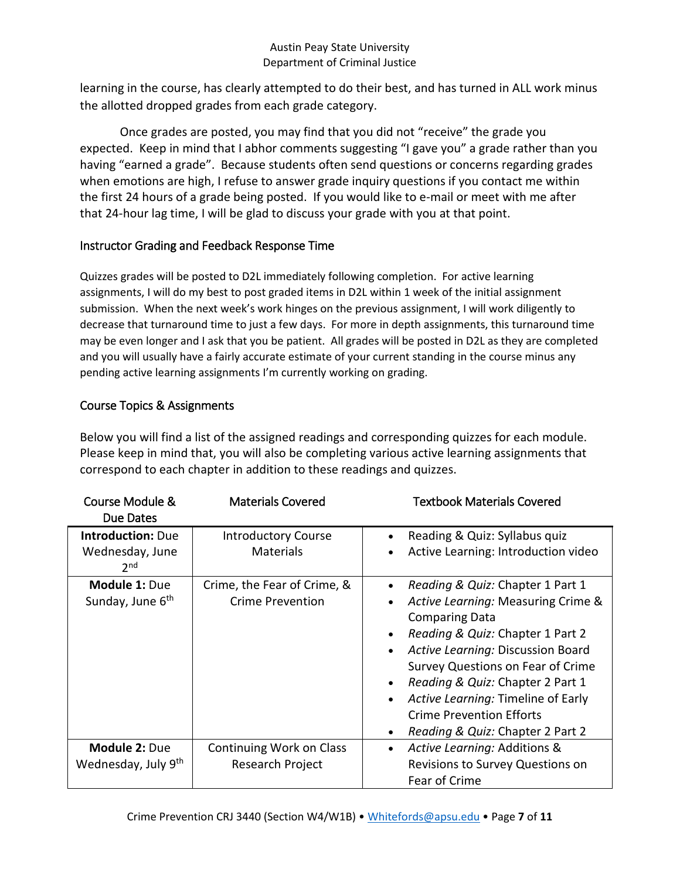learning in the course, has clearly attempted to do their best, and has turned in ALL work minus the allotted dropped grades from each grade category.

Once grades are posted, you may find that you did not "receive" the grade you expected. Keep in mind that I abhor comments suggesting "I gave you" a grade rather than you having "earned a grade". Because students often send questions or concerns regarding grades when emotions are high, I refuse to answer grade inquiry questions if you contact me within the first 24 hours of a grade being posted. If you would like to e-mail or meet with me after that 24-hour lag time, I will be glad to discuss your grade with you at that point.

## Instructor Grading and Feedback Response Time

Quizzes grades will be posted to D2L immediately following completion. For active learning assignments, I will do my best to post graded items in D2L within 1 week of the initial assignment submission. When the next week's work hinges on the previous assignment, I will work diligently to decrease that turnaround time to just a few days. For more in depth assignments, this turnaround time may be even longer and I ask that you be patient. All grades will be posted in D2L as they are completed and you will usually have a fairly accurate estimate of your current standing in the course minus any pending active learning assignments I'm currently working on grading.

## Course Topics & Assignments

Below you will find a list of the assigned readings and corresponding quizzes for each module. Please keep in mind that, you will also be completing various active learning assignments that correspond to each chapter in addition to these readings and quizzes.

| Course Module &<br>Due Dates                                   | <b>Materials Covered</b>                               | <b>Textbook Materials Covered</b>                                                                                                                                                                                                                                                                                                                                                                                  |
|----------------------------------------------------------------|--------------------------------------------------------|--------------------------------------------------------------------------------------------------------------------------------------------------------------------------------------------------------------------------------------------------------------------------------------------------------------------------------------------------------------------------------------------------------------------|
| <b>Introduction: Due</b><br>Wednesday, June<br>2 <sup>nd</sup> | <b>Introductory Course</b><br><b>Materials</b>         | Reading & Quiz: Syllabus quiz<br>$\bullet$<br>Active Learning: Introduction video                                                                                                                                                                                                                                                                                                                                  |
| <b>Module 1: Due</b><br>Sunday, June 6 <sup>th</sup>           | Crime, the Fear of Crime, &<br><b>Crime Prevention</b> | Reading & Quiz: Chapter 1 Part 1<br>Active Learning: Measuring Crime &<br><b>Comparing Data</b><br>Reading & Quiz: Chapter 1 Part 2<br>Active Learning: Discussion Board<br>$\bullet$<br>Survey Questions on Fear of Crime<br>Reading & Quiz: Chapter 2 Part 1<br>$\bullet$<br>Active Learning: Timeline of Early<br>$\bullet$<br><b>Crime Prevention Efforts</b><br>Reading & Quiz: Chapter 2 Part 2<br>$\bullet$ |
| Module 2: Due<br>Wednesday, July 9th                           | Continuing Work on Class<br>Research Project           | Active Learning: Additions &<br>$\bullet$<br>Revisions to Survey Questions on<br>Fear of Crime                                                                                                                                                                                                                                                                                                                     |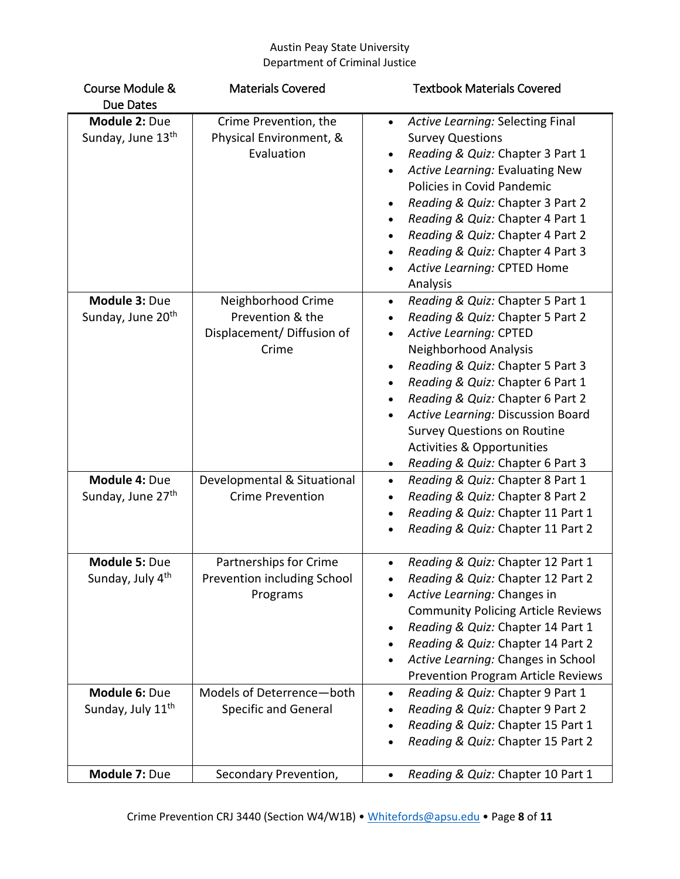| Course Module &                                | <b>Materials Covered</b>                                                      | <b>Textbook Materials Covered</b>                                                                                                                                                                                                                                                                                                                                                                                                                                                      |
|------------------------------------------------|-------------------------------------------------------------------------------|----------------------------------------------------------------------------------------------------------------------------------------------------------------------------------------------------------------------------------------------------------------------------------------------------------------------------------------------------------------------------------------------------------------------------------------------------------------------------------------|
| Due Dates                                      |                                                                               |                                                                                                                                                                                                                                                                                                                                                                                                                                                                                        |
| Module 2: Due<br>Sunday, June 13 <sup>th</sup> | Crime Prevention, the<br>Physical Environment, &<br>Evaluation                | Active Learning: Selecting Final<br>$\bullet$<br><b>Survey Questions</b><br>Reading & Quiz: Chapter 3 Part 1<br>Active Learning: Evaluating New<br>$\bullet$<br>Policies in Covid Pandemic<br>Reading & Quiz: Chapter 3 Part 2<br>$\bullet$<br>Reading & Quiz: Chapter 4 Part 1<br>Reading & Quiz: Chapter 4 Part 2<br>$\bullet$<br>Reading & Quiz: Chapter 4 Part 3<br>$\bullet$<br>Active Learning: CPTED Home<br>$\bullet$<br>Analysis                                              |
| Module 3: Due<br>Sunday, June 20 <sup>th</sup> | Neighborhood Crime<br>Prevention & the<br>Displacement/ Diffusion of<br>Crime | Reading & Quiz: Chapter 5 Part 1<br>$\bullet$<br>Reading & Quiz: Chapter 5 Part 2<br>$\bullet$<br>Active Learning: CPTED<br>$\bullet$<br>Neighborhood Analysis<br>Reading & Quiz: Chapter 5 Part 3<br>Reading & Quiz: Chapter 6 Part 1<br>$\bullet$<br>Reading & Quiz: Chapter 6 Part 2<br>$\bullet$<br>Active Learning: Discussion Board<br>$\bullet$<br><b>Survey Questions on Routine</b><br><b>Activities &amp; Opportunities</b><br>Reading & Quiz: Chapter 6 Part 3<br>$\bullet$ |
| Module 4: Due<br>Sunday, June 27 <sup>th</sup> | Developmental & Situational<br><b>Crime Prevention</b>                        | Reading & Quiz: Chapter 8 Part 1<br>$\bullet$<br>Reading & Quiz: Chapter 8 Part 2<br>$\bullet$<br>Reading & Quiz: Chapter 11 Part 1<br>$\bullet$<br>Reading & Quiz: Chapter 11 Part 2<br>$\bullet$                                                                                                                                                                                                                                                                                     |
| Module 5: Due<br>Sunday, July 4 <sup>th</sup>  | Partnerships for Crime<br>Prevention including School<br>Programs             | Reading & Quiz: Chapter 12 Part 1<br>$\bullet$<br>Reading & Quiz: Chapter 12 Part 2<br>Active Learning: Changes in<br><b>Community Policing Article Reviews</b><br>Reading & Quiz: Chapter 14 Part 1<br>٠<br>Reading & Quiz: Chapter 14 Part 2<br>Active Learning: Changes in School<br><b>Prevention Program Article Reviews</b>                                                                                                                                                      |
| Module 6: Due<br>Sunday, July 11 <sup>th</sup> | Models of Deterrence-both<br><b>Specific and General</b>                      | Reading & Quiz: Chapter 9 Part 1<br>$\bullet$<br>Reading & Quiz: Chapter 9 Part 2<br>$\bullet$<br>Reading & Quiz: Chapter 15 Part 1<br>٠<br>Reading & Quiz: Chapter 15 Part 2<br>٠                                                                                                                                                                                                                                                                                                     |
| Module 7: Due                                  | Secondary Prevention,                                                         | Reading & Quiz: Chapter 10 Part 1<br>$\bullet$                                                                                                                                                                                                                                                                                                                                                                                                                                         |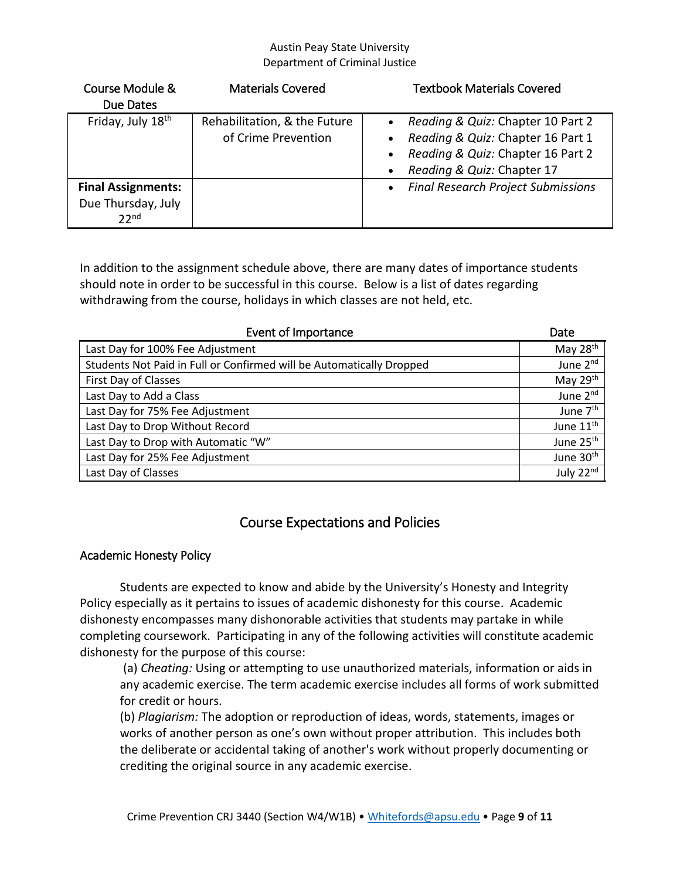| Course Module &           | <b>Materials Covered</b>     | <b>Textbook Materials Covered</b>                      |
|---------------------------|------------------------------|--------------------------------------------------------|
| Due Dates                 |                              |                                                        |
| Friday, July 18th         | Rehabilitation, & the Future | Reading & Quiz: Chapter 10 Part 2<br>$\bullet$         |
|                           | of Crime Prevention          | Reading & Quiz: Chapter 16 Part 1<br>$\bullet$         |
|                           |                              | Reading & Quiz: Chapter 16 Part 2<br>$\bullet$         |
|                           |                              | Reading & Quiz: Chapter 17<br>$\bullet$                |
| <b>Final Assignments:</b> |                              | <b>Final Research Project Submissions</b><br>$\bullet$ |
| Due Thursday, July        |                              |                                                        |
| 22 <sub>nd</sub>          |                              |                                                        |

In addition to the assignment schedule above, there are many dates of importance students should note in order to be successful in this course. Below is a list of dates regarding withdrawing from the course, holidays in which classes are not held, etc.

| <b>Event of Importance</b>                                           | Date                  |
|----------------------------------------------------------------------|-----------------------|
| Last Day for 100% Fee Adjustment                                     | May 28 <sup>th</sup>  |
| Students Not Paid in Full or Confirmed will be Automatically Dropped | June 2nd              |
| First Day of Classes                                                 | May 29th              |
| Last Day to Add a Class                                              | June 2 <sup>nd</sup>  |
| Last Day for 75% Fee Adjustment                                      | June 7 <sup>th</sup>  |
| Last Day to Drop Without Record                                      | June 11 <sup>th</sup> |
| Last Day to Drop with Automatic "W"                                  | June 25 <sup>th</sup> |
| Last Day for 25% Fee Adjustment                                      | June 30 <sup>th</sup> |
| Last Day of Classes                                                  | July 22nd             |

## Course Expectations and Policies

### Academic Honesty Policy

Students are expected to know and abide by the University's Honesty and Integrity Policy especially as it pertains to issues of academic dishonesty for this course. Academic dishonesty encompasses many dishonorable activities that students may partake in while completing coursework. Participating in any of the following activities will constitute academic dishonesty for the purpose of this course:

(a) *Cheating:* Using or attempting to use unauthorized materials, information or aids in any academic exercise. The term academic exercise includes all forms of work submitted for credit or hours.

(b) *Plagiarism:* The adoption or reproduction of ideas, words, statements, images or works of another person as one's own without proper attribution. This includes both the deliberate or accidental taking of another's work without properly documenting or crediting the original source in any academic exercise.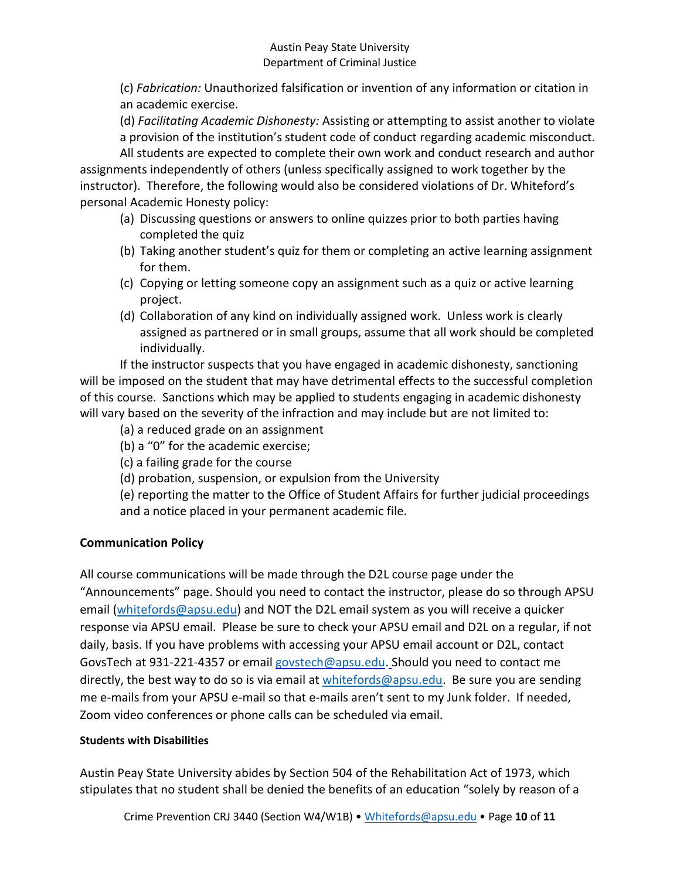(c) *Fabrication:* Unauthorized falsification or invention of any information or citation in an academic exercise.

(d) *Facilitating Academic Dishonesty:* Assisting or attempting to assist another to violate a provision of the institution's student code of conduct regarding academic misconduct.

All students are expected to complete their own work and conduct research and author assignments independently of others (unless specifically assigned to work together by the instructor). Therefore, the following would also be considered violations of Dr. Whiteford's personal Academic Honesty policy:

- (a) Discussing questions or answers to online quizzes prior to both parties having completed the quiz
- (b) Taking another student's quiz for them or completing an active learning assignment for them.
- (c) Copying or letting someone copy an assignment such as a quiz or active learning project.
- (d) Collaboration of any kind on individually assigned work. Unless work is clearly assigned as partnered or in small groups, assume that all work should be completed individually.

If the instructor suspects that you have engaged in academic dishonesty, sanctioning will be imposed on the student that may have detrimental effects to the successful completion of this course. Sanctions which may be applied to students engaging in academic dishonesty will vary based on the severity of the infraction and may include but are not limited to:

- (a) a reduced grade on an assignment
- (b) a "0" for the academic exercise;
- (c) a failing grade for the course
- (d) probation, suspension, or expulsion from the University

(e) reporting the matter to the Office of Student Affairs for further judicial proceedings and a notice placed in your permanent academic file.

## **Communication Policy**

All course communications will be made through the D2L course page under the "Announcements" page. Should you need to contact the instructor, please do so through APSU email [\(whitefords@apsu.edu\)](mailto:whitefords@apsu.edu) and NOT the D2L email system as you will receive a quicker response via APSU email. Please be sure to check your APSU email and D2L on a regular, if not daily, basis. If you have problems with accessing your APSU email account or D2L, contact GovsTech at 931-221-4357 or email [govstech@apsu.edu.](mailto:govstech@apsu.edu) Should you need to contact me directly, the best way to do so is via email at [whitefords@apsu.edu.](mailto:whitefords@apsu.edu) Be sure you are sending me e-mails from your APSU e-mail so that e-mails aren't sent to my Junk folder. If needed, Zoom video conferences or phone calls can be scheduled via email.

### **Students with Disabilities**

Austin Peay State University abides by Section 504 of the Rehabilitation Act of 1973, which stipulates that no student shall be denied the benefits of an education "solely by reason of a